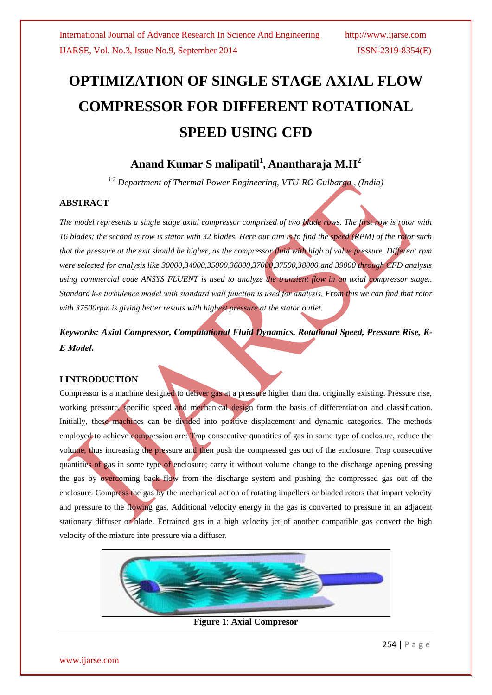# **OPTIMIZATION OF SINGLE STAGE AXIAL FLOW COMPRESSOR FOR DIFFERENT ROTATIONAL SPEED USING CFD**

## **Anand Kumar S malipatil<sup>1</sup> , Anantharaja M.H<sup>2</sup>**

*1,2 Department of Thermal Power Engineering, VTU-RO Gulbarga , (India)*

### **ABSTRACT**

*The model represents a single stage axial compressor comprised of two blade rows. The first row is rotor with 16 blades; the second is row is stator with 32 blades. Here our aim is to find the speed (RPM) of the rotor such that the pressure at the exit should be higher, as the compressor fluid with high of value pressure. Different rpm were selected for analysis like 30000,34000,35000,36000,37000,37500,38000 and 39000 through CFD analysis using commercial code ANSYS FLUENT is used to analyze the transient flow in an axial compressor stage.. Standard k-ε turbulence model with standard wall function is used for analysis. From this we can find that rotor with 37500rpm is giving better results with highest pressure at the stator outlet.* 

*Keywords: Axial Compressor, Computational Fluid Dynamics, Rotational Speed, Pressure Rise, K-Ε Model.*

### **I INTRODUCTION**

Compressor is a machine designed to deliver gas at a pressure higher than that originally existing. Pressure rise, working pressure, specific speed and mechanical design form the basis of differentiation and classification. Initially, these machines can be divided into positive displacement and dynamic categories. The methods employed to achieve compression are: Trap consecutive quantities of gas in some type of enclosure, reduce the volume, thus increasing the pressure and then push the compressed gas out of the enclosure. Trap consecutive quantities of gas in some type of enclosure; carry it without volume change to the discharge opening pressing the gas by overcoming back flow from the discharge system and pushing the compressed gas out of the enclosure. Compress the gas by the mechanical action of rotating impellers or bladed rotors that impart velocity and pressure to the flowing gas. Additional velocity energy in the gas is converted to pressure in an adjacent stationary diffuser or blade. Entrained gas in a high velocity jet of another compatible gas convert the high velocity of the mixture into pressure via a diffuser.



**Figure 1**: **Axial Compresor**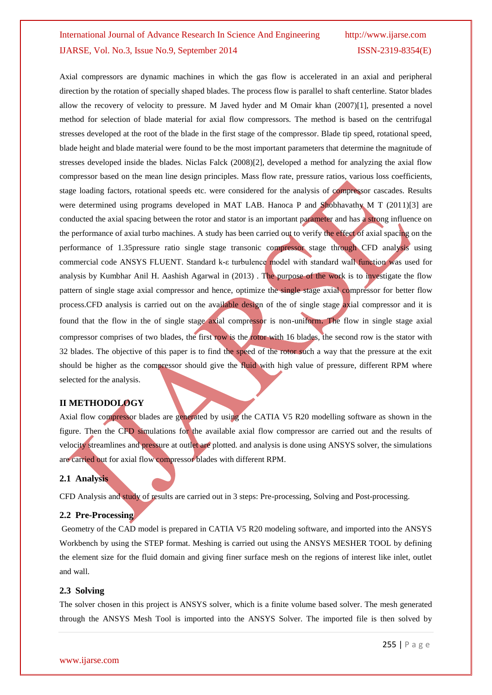Axial compressors are dynamic machines in which the gas flow is accelerated in an axial and peripheral direction by the rotation of specially shaped blades. The process flow is parallel to shaft centerline. Stator blades allow the recovery of velocity to pressure. M Javed hyder and M Omair khan (2007)[1], presented a novel method for selection of blade material for axial flow compressors. The method is based on the centrifugal stresses developed at the root of the blade in the first stage of the compressor. Blade tip speed, rotational speed, blade height and blade material were found to be the most important parameters that determine the magnitude of stresses developed inside the blades. Niclas Falck (2008)[2], developed a method for analyzing the axial flow compressor based on the mean line design principles. Mass flow rate, pressure ratios, various loss coefficients, stage loading factors, rotational speeds etc. were considered for the analysis of compressor cascades. Results were determined using programs developed in MAT LAB. Hanoca P and Shobhavathy M T (2011)[3] are conducted the axial spacing between the rotor and stator is an important parameter and has a strong influence on the performance of axial turbo machines. A study has been carried out to verify the effect of axial spacing on the performance of 1.35pressure ratio single stage transonic compressor stage through CFD analysis using commercial code ANSYS FLUENT. Standard k-ε turbulence model with standard wall function was used for analysis by Kumbhar Anil H. Aashish Agarwal in (2013) . The purpose of the work is to investigate the flow pattern of single stage axial compressor and hence, optimize the single stage axial compressor for better flow process.CFD analysis is carried out on the available design of the of single stage axial compressor and it is found that the flow in the of single stage axial compressor is non-uniform. The flow in single stage axial compressor comprises of two blades, the first row is the rotor with 16 blades, the second row is the stator with 32 blades. The objective of this paper is to find the speed of the rotor such a way that the pressure at the exit should be higher as the compressor should give the fluid with high value of pressure, different RPM where selected for the analysis.

#### **II METHODOLOGY**

Axial flow compressor blades are generated by using the CATIA V5 R20 modelling software as shown in the figure. Then the CFD simulations for the available axial flow compressor are carried out and the results of velocity streamlines and pressure at outlet are plotted. and analysis is done using ANSYS solver, the simulations are carried out for axial flow compressor blades with different RPM.

#### **2.1 Analysis**

CFD Analysis and study of results are carried out in 3 steps: Pre-processing, Solving and Post-processing.

#### **2.2 Pre-Processing**

Geometry of the CAD model is prepared in CATIA V5 R20 modeling software, and imported into the ANSYS Workbench by using the STEP format. Meshing is carried out using the ANSYS MESHER TOOL by defining the element size for the fluid domain and giving finer surface mesh on the regions of interest like inlet, outlet and wall.

#### **2.3 Solving**

The solver chosen in this project is ANSYS solver, which is a finite volume based solver. The mesh generated through the ANSYS Mesh Tool is imported into the ANSYS Solver. The imported file is then solved by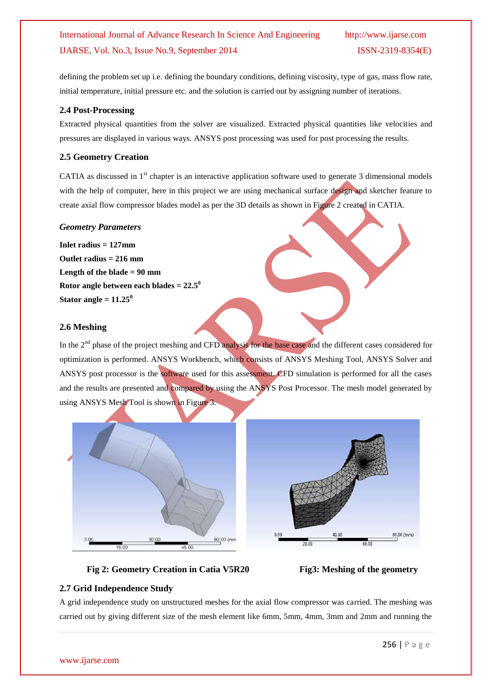defining the problem set up i.e. defining the boundary conditions, defining viscosity, type of gas, mass flow rate, initial temperature, initial pressure etc. and the solution is carried out by assigning number of iterations.

#### **2.4 Post-Processing**

Extracted physical quantities from the solver are visualized. Extracted physical quantities like velocities and pressures are displayed in various ways. ANSYS post processing was used for post processing the results.

#### **2.5 Geometry Creation**

CATIA as discussed in  $1<sup>st</sup>$  chapter is an interactive application software used to generate 3 dimensional models with the help of computer, here in this project we are using mechanical surface design and sketcher feature to create axial flow compressor blades model as per the 3D details as shown in Figure 2 created in CATIA.

#### *Geometry Parameters*

**Inlet radius = 127mm Outlet radius = 216 mm Length of the blade = 90 mm Rotor angle between each blades = 22.5<sup>0</sup> Stator angle =**  $11.25^{\circ}$ 

#### **2.6 Meshing**

In the 2<sup>nd</sup> phase of the project meshing and CFD analysis for the base case and the different cases considered for optimization is performed. ANSYS Workbench, which consists of ANSYS Meshing Tool, ANSYS Solver and ANSYS post processor is the software used for this assessment. CFD simulation is performed for all the cases and the results are presented and compared by using the ANSYS Post Processor. The mesh model generated by using ANSYS Mesh Tool is shown in Figure 3.



#### **Fig 2: Geometry Creation in Catia V5R20 Fig3: Meshing of the geometry**

#### **2.7 Grid Independence Study**

A grid independence study on unstructured meshes for the axial flow compressor was carried. The meshing was carried out by giving different size of the mesh element like 6mm, 5mm, 4mm, 3mm and 2mm and running the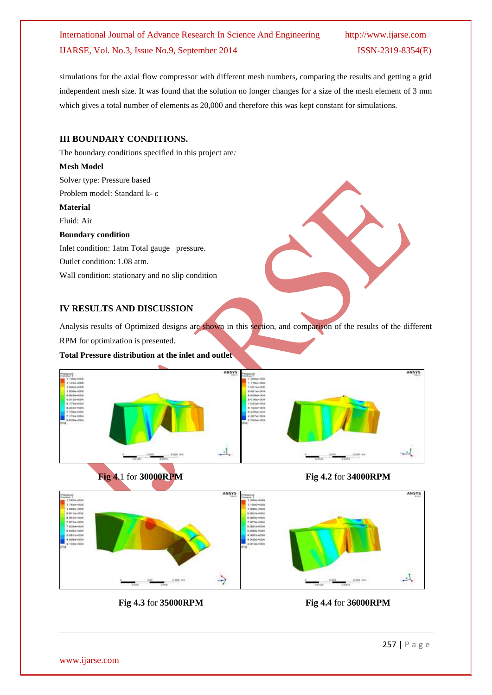simulations for the axial flow compressor with different mesh numbers, comparing the results and getting a grid independent mesh size. It was found that the solution no longer changes for a size of the mesh element of 3 mm which gives a total number of elements as 20,000 and therefore this was kept constant for simulations.

#### **III BOUNDARY CONDITIONS.**

The boundary conditions specified in this project are*:*

#### **Mesh Model**

Solver type: Pressure based

Problem model: Standard k- ε

#### **Material**

Fluid: Air

#### **Boundary condition**

Inlet condition: 1atm Total gauge pressure.

Outlet condition: 1.08 atm.

Wall condition: stationary and no slip condition

#### **IV RESULTS AND DISCUSSION**

Analysis results of Optimized designs are shown in this section, and comparison of the results of the different RPM for optimization is presented.

#### **Total Pressure distribution at the inlet and outlet**







 **Fig 4.3** for **35000RPM Fig 4.4** for **36000RPM**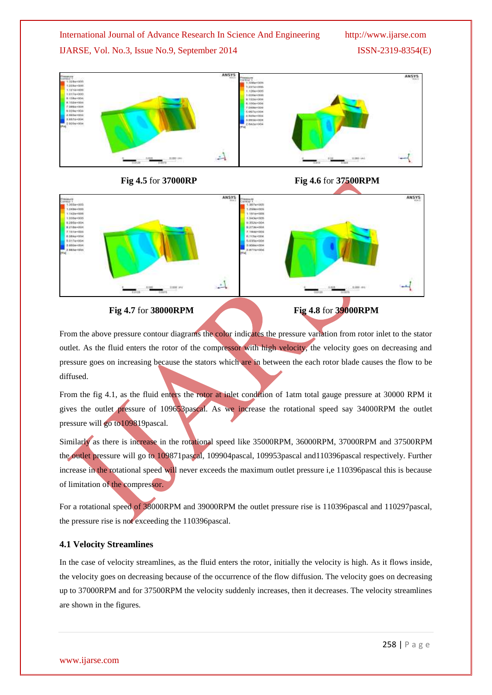## International Journal of Advance Research In Science And Engineering http://www.ijarse.com

### IJARSE, Vol. No.3, Issue No.9, September 2014 ISSN-2319-8354(E)





#### **Fig 4.5** for **37000RP Fig 4.6** for **37500RPM**



### **Fig 4.7** for **38000RPM Fig 4.8** for **39000RPM**

From the above pressure contour diagrams the color indicates the pressure variation from rotor inlet to the stator outlet. As the fluid enters the rotor of the compressor with high velocity, the velocity goes on decreasing and pressure goes on increasing because the stators which are in between the each rotor blade causes the flow to be diffused.

From the fig 4.1, as the fluid enters the rotor at inlet condition of 1atm total gauge pressure at 30000 RPM it gives the outlet pressure of 109653pascal. As we increase the rotational speed say 34000RPM the outlet pressure will go to109819pascal.

Similarly as there is increase in the rotational speed like 35000RPM, 36000RPM, 37000RPM and 37500RPM the outlet pressure will go to 109871pascal, 109904pascal, 109953pascal and110396pascal respectively. Further increase in the rotational speed will never exceeds the maximum outlet pressure i,e 110396pascal this is because of limitation of the compressor.

For a rotational speed of 38000RPM and 39000RPM the outlet pressure rise is 110396pascal and 110297pascal, the pressure rise is not exceeding the 110396pascal.

#### **4.1 Velocity Streamlines**

In the case of velocity streamlines, as the fluid enters the rotor, initially the velocity is high. As it flows inside, the velocity goes on decreasing because of the occurrence of the flow diffusion. The velocity goes on decreasing up to 37000RPM and for 37500RPM the velocity suddenly increases, then it decreases. The velocity streamlines are shown in the figures.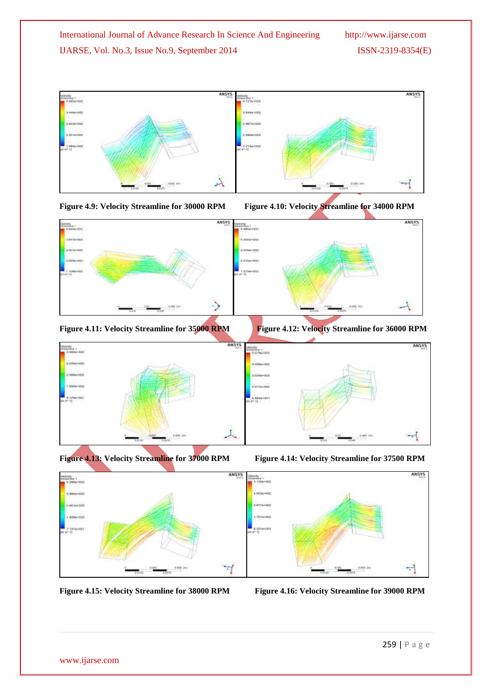





**Figure 4.11: Velocity Streamline for 35000 RPM Figure 4.12: Velocity Streamline for 36000 RPM**



**Figure 4.13: Velocity Streamline for 37000 RPM Figure 4.14: Velocity Streamline for 37500 RPM**





**Figure 4.15: Velocity Streamline for 38000 RPM Figure 4.16: Velocity Streamline for 39000 RPM**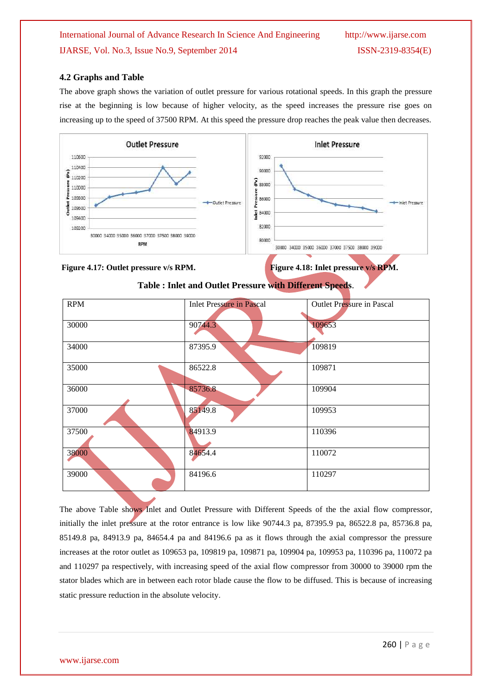#### **4.2 Graphs and Table**

The above graph shows the variation of outlet pressure for various rotational speeds. In this graph the pressure rise at the beginning is low because of higher velocity, as the speed increases the pressure rise goes on increasing up to the speed of 37500 RPM. At this speed the pressure drop reaches the peak value then decreases.



#### **Figure 4.17: Outlet pressure v/s RPM.** Figure 4.18: Inlet pressure v/s RPM.

| <b>RPM</b> | <b>Inlet Pressure in Pascal</b> | Outlet Pressure in Pascal |
|------------|---------------------------------|---------------------------|
|            |                                 |                           |
| 30000      | 90744.3                         | 109653                    |
| 34000      | 87395.9                         | 109819                    |
| 35000      | 86522.8                         | 109871                    |
| 36000      | 85736.8                         | 109904                    |
| 37000      | 85149.8                         | 109953                    |
| 37500      | 84913.9                         | 110396                    |
| 38000      | 84654.4                         | 110072                    |
| 39000      | 84196.6                         | 110297                    |

**Table : Inlet and Outlet Pressure with Different Speeds**.

The above Table shows Inlet and Outlet Pressure with Different Speeds of the the axial flow compressor, initially the inlet pressure at the rotor entrance is low like 90744.3 pa, 87395.9 pa, 86522.8 pa, 85736.8 pa, 85149.8 pa, 84913.9 pa, 84654.4 pa and 84196.6 pa as it flows through the axial compressor the pressure increases at the rotor outlet as 109653 pa, 109819 pa, 109871 pa, 109904 pa, 109953 pa, 110396 pa, 110072 pa and 110297 pa respectively, with increasing speed of the axial flow compressor from 30000 to 39000 rpm the stator blades which are in between each rotor blade cause the flow to be diffused. This is because of increasing static pressure reduction in the absolute velocity.